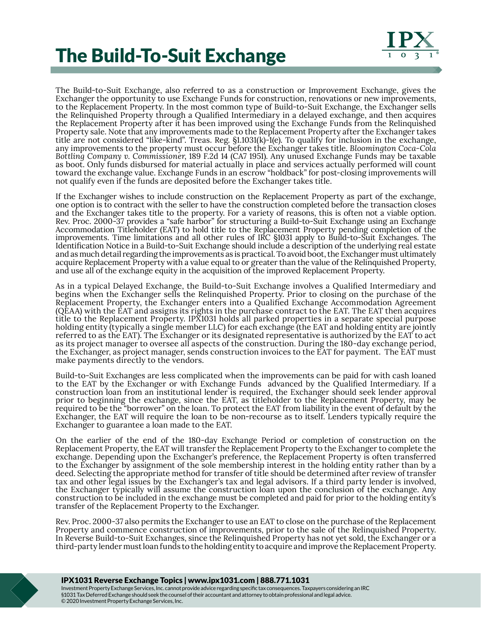## The Build-To-Suit Exchange



The Build-to-Suit Exchange, also referred to as a construction or Improvement Exchange, gives the Exchanger the opportunity to use Exchange Funds for construction, renovations or new improvements, to the Replacement Property. In the most common type of Build-to-Suit Exchange, the Exchanger sells the Relinquished Property through a Qualified Intermediary in a delayed exchange, and then acquires the Replacement Property after it has been improved using the Exchange Funds from the Relinquished Property sale. Note that any improvements made to the Replacement Property after the Exchanger takes title are not considered "like-kind". Treas. Reg. §1.1031(k)-1(e). To qualify for inclusion in the exchange, any improvements to the property must occur before the Exchanger takes title. *Bloomington Coca-Cola Bottling Company v. Commissioner*, 189 F.2d 14 (CA7 1951). Any unused Exchange Funds may be taxable as boot. Only funds disbursed for material actually in place and services actually performed will count toward the exchange value. Exchange Funds in an escrow "holdback" for post-closing improvements will not qualify even if the funds are deposited before the Exchanger takes title.

If the Exchanger wishes to include construction on the Replacement Property as part of the exchange, one option is to contract with the seller to have the construction completed before the transaction closes and the Exchanger takes title to the property. For a variety of reasons, this is often not a viable option. Rev. Proc. 2000-37 provides a "safe harbor" for structuring a Build-to-Suit Exchange using an Exchange Accommodation Titleholder (EAT) to hold title to the Replacement Property pending completion of the improvements. Time limitations and all other rules of IRC §1031 apply to Build-to-Suit Exchanges. The Identification Notice in a Build-to-Suit Exchange should include a description of the underlying real estate and as much detail regarding the improvements as is practical. To avoid boot, the Exchanger must ultimately acquire Replacement Property with a value equal to or greater than the value of the Relinquished Property, and use all of the exchange equity in the acquisition of the improved Replacement Property.

As in a typical Delayed Exchange, the Build-to-Suit Exchange involves a Qualified Intermediary and begins when the Exchanger sells the Relinquished Property. Prior to closing on the purchase of the Replacement Property, the Exchanger enters into a Qualified Exchange Accommodation Agreement (QEAA) with the EAT and assigns its rights in the purchase contract to the EAT. The EAT then acquires title to the Replacement Property. IPX1031 holds all parked properties in a separate special purpose holding entity (typically a single member LLC) for each exchange (the EAT and holding entity are jointly referred to as the EAT). The Exchanger or its designated representative is authorized by the EAT to act as its project manager to oversee all aspects of the construction. During the 180-day exchange period, the Exchanger, as project manager, sends construction invoices to the EAT for payment. The EAT must make payments directly to the vendors.

Build-to-Suit Exchanges are less complicated when the improvements can be paid for with cash loaned to the EAT by the Exchanger or with Exchange Funds advanced by the Qualified Intermediary. If a construction loan from an institutional lender is required, the Exchanger should seek lender approval prior to beginning the exchange, since the EAT, as titleholder to the Replacement Property, may be required to be the "borrower" on the loan. To protect the EAT from liability in the event of default by the Exchanger, the EAT will require the loan to be non-recourse as to itself. Lenders typically require the Exchanger to guarantee a loan made to the EAT.

On the earlier of the end of the 180-day Exchange Period or completion of construction on the Replacement Property, the EAT will transfer the Replacement Property to the Exchanger to complete the exchange. Depending upon the Exchanger's preference, the Replacement Property is often transferred to the Exchanger by assignment of the sole membership interest in the holding entity rather than by a deed. Selecting the appropriate method for transfer of title should be determined after review of transfer tax and other legal issues by the Exchanger's tax and legal advisors. If a third party lender is involved, the Exchanger typically will assume the construction loan upon the conclusion of the exchange. Any construction to be included in the exchange must be completed and paid for prior to the holding entity's transfer of the Replacement Property to the Exchanger.

Rev. Proc. 2000-37 also permits the Exchanger to use an EAT to close on the purchase of the Replacement Property and commence construction of improvements, prior to the sale of the Relinquished Property. In Reverse Build-to-Suit Exchanges, since the Relinquished Property has not yet sold, the Exchanger or a third-party lender must loan funds to the holding entity to acquire and improve the Replacement Property.

## IPX1031 Reverse Exchange Topics | www.ipx1031.com | 888.771.1031

Investment Property Exchange Services, Inc. cannot provide advice regarding specific tax consequences. Taxpayers considering an IRC §1031 Tax Deferred Exchange should seek the counsel of their accountant and attorney to obtain professional and legal advice. © 2020 Investment Property Exchange Services, Inc.